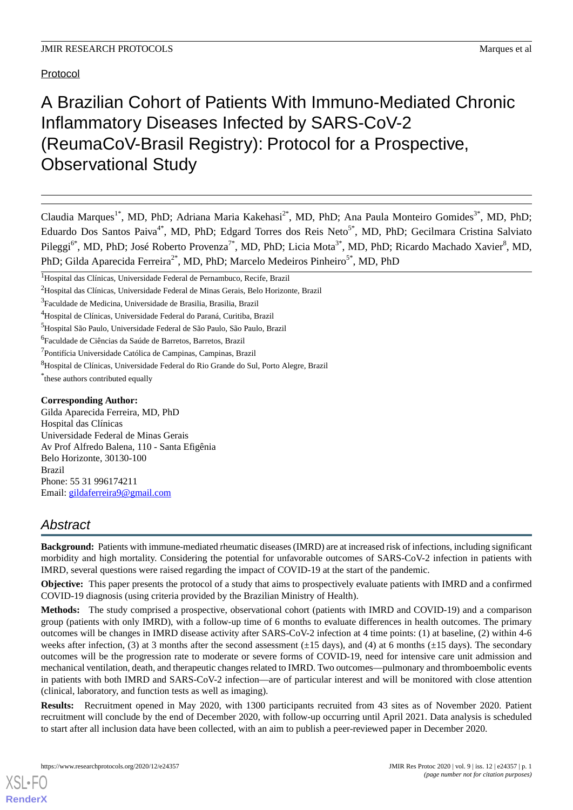# Protocol

# A Brazilian Cohort of Patients With Immuno-Mediated Chronic Inflammatory Diseases Infected by SARS-CoV-2 (ReumaCoV-Brasil Registry): Protocol for a Prospective, Observational Study

Claudia Marques<sup>1\*</sup>, MD, PhD; Adriana Maria Kakehasi<sup>2\*</sup>, MD, PhD; Ana Paula Monteiro Gomides<sup>3\*</sup>, MD, PhD; Eduardo Dos Santos Paiva<sup>4\*</sup>, MD, PhD; Edgard Torres dos Reis Neto<sup>5\*</sup>, MD, PhD; Gecilmara Cristina Salviato Pileggi<sup>6\*</sup>, MD, PhD; José Roberto Provenza<sup>7\*</sup>, MD, PhD; Licia Mota<sup>3\*</sup>, MD, PhD; Ricardo Machado Xavier<sup>8</sup>, MD, PhD; Gilda Aparecida Ferreira<sup>2\*</sup>, MD, PhD; Marcelo Medeiros Pinheiro<sup>5\*</sup>, MD, PhD

\* these authors contributed equally

#### **Corresponding Author:**

Gilda Aparecida Ferreira, MD, PhD Hospital das Clínicas Universidade Federal de Minas Gerais Av Prof Alfredo Balena, 110 - Santa Efigênia Belo Horizonte, 30130-100 Brazil Phone: 55 31 996174211 Email: [gildaferreira9@gmail.com](mailto:gildaferreira9@gmail.com)

# *Abstract*

**Background:** Patients with immune-mediated rheumatic diseases (IMRD) are at increased risk of infections, including significant morbidity and high mortality. Considering the potential for unfavorable outcomes of SARS-CoV-2 infection in patients with IMRD, several questions were raised regarding the impact of COVID-19 at the start of the pandemic.

**Objective:** This paper presents the protocol of a study that aims to prospectively evaluate patients with IMRD and a confirmed COVID-19 diagnosis (using criteria provided by the Brazilian Ministry of Health).

**Methods:** The study comprised a prospective, observational cohort (patients with IMRD and COVID-19) and a comparison group (patients with only IMRD), with a follow-up time of 6 months to evaluate differences in health outcomes. The primary outcomes will be changes in IMRD disease activity after SARS-CoV-2 infection at 4 time points: (1) at baseline, (2) within 4-6 weeks after infection, (3) at 3 months after the second assessment ( $\pm 15$  days), and (4) at 6 months ( $\pm 15$  days). The secondary outcomes will be the progression rate to moderate or severe forms of COVID-19, need for intensive care unit admission and mechanical ventilation, death, and therapeutic changes related to IMRD. Two outcomes—pulmonary and thromboembolic events in patients with both IMRD and SARS-CoV-2 infection—are of particular interest and will be monitored with close attention (clinical, laboratory, and function tests as well as imaging).

**Results:** Recruitment opened in May 2020, with 1300 participants recruited from 43 sites as of November 2020. Patient recruitment will conclude by the end of December 2020, with follow-up occurring until April 2021. Data analysis is scheduled to start after all inclusion data have been collected, with an aim to publish a peer-reviewed paper in December 2020.

<sup>1</sup>Hospital das Clínicas, Universidade Federal de Pernambuco, Recife, Brazil

<sup>2</sup>Hospital das Clínicas, Universidade Federal de Minas Gerais, Belo Horizonte, Brazil

<sup>&</sup>lt;sup>3</sup>Faculdade de Medicina, Universidade de Brasilia, Brasilia, Brazil

<sup>4</sup>Hospital de Clínicas, Universidade Federal do Paraná, Curitiba, Brazil

<sup>5</sup>Hospital São Paulo, Universidade Federal de São Paulo, São Paulo, Brazil

<sup>&</sup>lt;sup>6</sup>Faculdade de Ciências da Saúde de Barretos, Barretos, Brazil

<sup>&</sup>lt;sup>7</sup>Pontifícia Universidade Católica de Campinas, Campinas, Brazil

<sup>8</sup>Hospital de Clínicas, Universidade Federal do Rio Grande do Sul, Porto Alegre, Brazil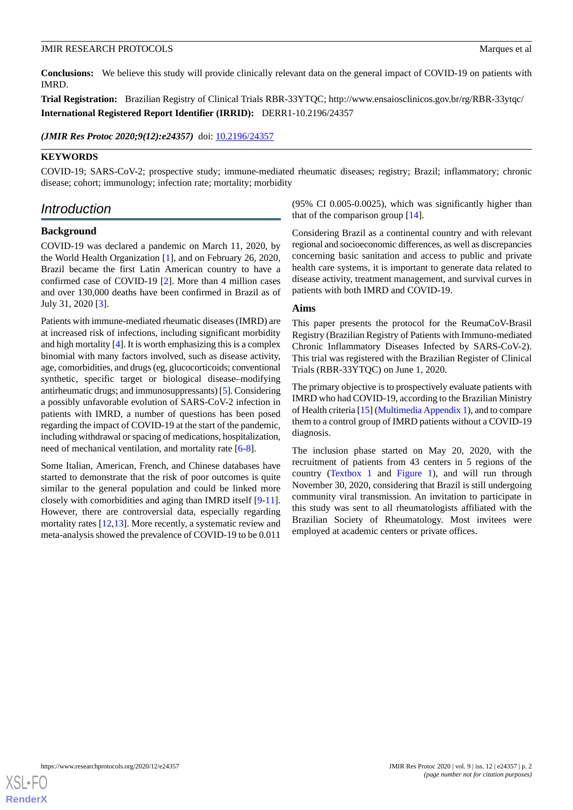**Conclusions:** We believe this study will provide clinically relevant data on the general impact of COVID-19 on patients with IMRD.

**Trial Registration:** Brazilian Registry of Clinical Trials RBR-33YTQC; http://www.ensaiosclinicos.gov.br/rg/RBR-33ytqc/ **International Registered Report Identifier (IRRID):** DERR1-10.2196/24357

*(JMIR Res Protoc 2020;9(12):e24357)* doi:  $10.2196/24357$ 

# **KEYWORDS**

COVID-19; SARS-CoV-2; prospective study; immune-mediated rheumatic diseases; registry; Brazil; inflammatory; chronic disease; cohort; immunology; infection rate; mortality; morbidity

# *Introduction*

### **Background**

COVID-19 was declared a pandemic on March 11, 2020, by the World Health Organization [\[1](#page-8-0)], and on February 26, 2020, Brazil became the first Latin American country to have a confirmed case of COVID-19 [\[2](#page-8-1)]. More than 4 million cases and over 130,000 deaths have been confirmed in Brazil as of July 31, 2020 [\[3\]](#page-8-2).

Patients with immune-mediated rheumatic diseases (IMRD) are at increased risk of infections, including significant morbidity and high mortality [\[4\]](#page-8-3). It is worth emphasizing this is a complex binomial with many factors involved, such as disease activity, age, comorbidities, and drugs (eg, glucocorticoids; conventional synthetic, specific target or biological disease–modifying antirheumatic drugs; and immunosuppressants) [\[5](#page-8-4)]. Considering a possibly unfavorable evolution of SARS-CoV-2 infection in patients with IMRD, a number of questions has been posed regarding the impact of COVID-19 at the start of the pandemic, including withdrawal or spacing of medications, hospitalization, need of mechanical ventilation, and mortality rate [\[6](#page-8-5)-[8\]](#page-8-6).

Some Italian, American, French, and Chinese databases have started to demonstrate that the risk of poor outcomes is quite similar to the general population and could be linked more closely with comorbidities and aging than IMRD itself [[9](#page-8-7)-[11\]](#page-8-8). However, there are controversial data, especially regarding mortality rates [[12](#page-8-9)[,13](#page-8-10)]. More recently, a systematic review and meta-analysis showed the prevalence of COVID-19 to be 0.011

(95% CI 0.005-0.0025), which was significantly higher than that of the comparison group [\[14](#page-9-0)].

Considering Brazil as a continental country and with relevant regional and socioeconomic differences, as well as discrepancies concerning basic sanitation and access to public and private health care systems, it is important to generate data related to disease activity, treatment management, and survival curves in patients with both IMRD and COVID-19.

#### **Aims**

This paper presents the protocol for the ReumaCoV-Brasil Registry (Brazilian Registry of Patients with Immuno-mediated Chronic Inflammatory Diseases Infected by SARS-CoV-2). This trial was registered with the Brazilian Register of Clinical Trials (RBR-33YTQC) on June 1, 2020.

The primary objective is to prospectively evaluate patients with IMRD who had COVID-19, according to the Brazilian Ministry of Health criteria [\[15](#page-9-1)] ([Multimedia Appendix 1\)](#page-8-11), and to compare them to a control group of IMRD patients without a COVID-19 diagnosis.

The inclusion phase started on May 20, 2020, with the recruitment of patients from 43 centers in 5 regions of the country [\(Textbox 1](#page-2-0) and [Figure 1](#page-3-0)), and will run through November 30, 2020, considering that Brazil is still undergoing community viral transmission. An invitation to participate in this study was sent to all rheumatologists affiliated with the Brazilian Society of Rheumatology. Most invitees were employed at academic centers or private offices.

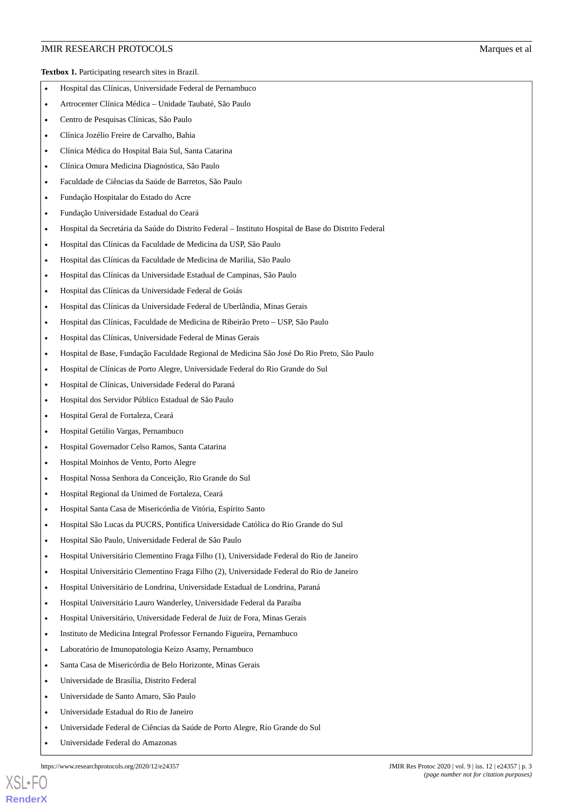#### **JMIR RESEARCH PROTOCOLS Marques et al.** Marques et al.

<span id="page-2-0"></span>**Textbox 1.** Participating research sites in Brazil.

- Hospital das Clínicas, Universidade Federal de Pernambuco
- Artrocenter Clínica Médica Unidade Taubaté, São Paulo
- Centro de Pesquisas Clínicas, São Paulo
- Clínica Jozélio Freire de Carvalho, Bahia
- Clínica Médica do Hospital Baia Sul, Santa Catarina
- Clínica Omura Medicina Diagnóstica, São Paulo
- Faculdade de Ciências da Saúde de Barretos, São Paulo
- Fundação Hospitalar do Estado do Acre
- Fundação Universidade Estadual do Ceará
- Hospital da Secretária da Saúde do Distrito Federal Instituto Hospital de Base do Distrito Federal
- Hospital das Clínicas da Faculdade de Medicina da USP, São Paulo
- Hospital das Clínicas da Faculdade de Medicina de Marilia, São Paulo
- Hospital das Clínicas da Universidade Estadual de Campinas, São Paulo
- Hospital das Clínicas da Universidade Federal de Goiás
- Hospital das Clínicas da Universidade Federal de Uberlândia, Minas Gerais
- Hospital das Clínicas, Faculdade de Medicina de Ribeirão Preto USP, São Paulo
- Hospital das Clínicas, Universidade Federal de Minas Gerais
- Hospital de Base, Fundação Faculdade Regional de Medicina São José Do Rio Preto, São Paulo
- Hospital de Clínicas de Porto Alegre, Universidade Federal do Rio Grande do Sul
- Hospital de Clínicas, Universidade Federal do Paraná
- Hospital dos Servidor Público Estadual de São Paulo
- Hospital Geral de Fortaleza, Ceará
- Hospital Getúlio Vargas, Pernambuco
- Hospital Governador Celso Ramos, Santa Catarina
- Hospital Moinhos de Vento, Porto Alegre
- Hospital Nossa Senhora da Conceição, Rio Grande do Sul
- Hospital Regional da Unimed de Fortaleza, Ceará
- Hospital Santa Casa de Misericórdia de Vitória, Espírito Santo
- Hospital São Lucas da PUCRS, Pontifica Universidade Católica do Rio Grande do Sul
- Hospital São Paulo, Universidade Federal de São Paulo
- Hospital Universitário Clementino Fraga Filho (1), Universidade Federal do Rio de Janeiro
- Hospital Universitário Clementino Fraga Filho (2), Universidade Federal do Rio de Janeiro
- Hospital Universitário de Londrina, Universidade Estadual de Londrina, Paraná
- Hospital Universitário Lauro Wanderley, Universidade Federal da Paraíba
- Hospital Universitário, Universidade Federal de Juiz de Fora, Minas Gerais
- Instituto de Medicina Integral Professor Fernando Figueira, Pernambuco
- Laboratório de Imunopatologia Keizo Asamy, Pernambuco
- Santa Casa de Misericórdia de Belo Horizonte, Minas Gerais
- Universidade de Brasília, Distrito Federal
- Universidade de Santo Amaro, São Paulo
- Universidade Estadual do Rio de Janeiro
- Universidade Federal de Ciências da Saúde de Porto Alegre, Rio Grande do Sul
- Universidade Federal do Amazonas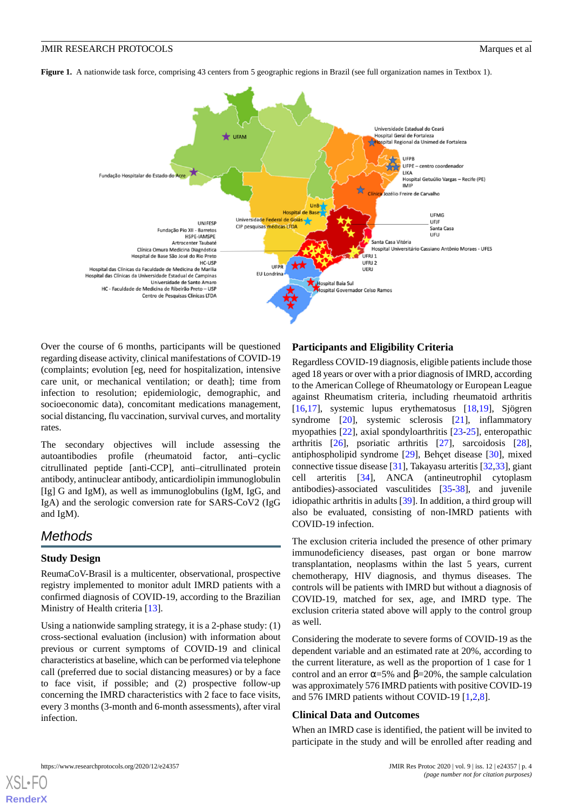<span id="page-3-0"></span>**Figure 1.** A nationwide task force, comprising 43 centers from 5 geographic regions in Brazil (see full organization names in Textbox 1).



Over the course of 6 months, participants will be questioned regarding disease activity, clinical manifestations of COVID-19 (complaints; evolution [eg, need for hospitalization, intensive care unit, or mechanical ventilation; or death]; time from infection to resolution; epidemiologic, demographic, and socioeconomic data), concomitant medications management, social distancing, flu vaccination, survival curves, and mortality rates.

The secondary objectives will include assessing the autoantibodies profile (rheumatoid factor, anti–cyclic citrullinated peptide [anti-CCP], anti–citrullinated protein antibody, antinuclear antibody, anticardiolipin immunoglobulin [Ig] G and IgM), as well as immunoglobulins (IgM, IgG, and IgA) and the serologic conversion rate for SARS-CoV2 (IgG and IgM).

# *Methods*

### **Study Design**

ReumaCoV-Brasil is a multicenter, observational, prospective registry implemented to monitor adult IMRD patients with a confirmed diagnosis of COVID-19, according to the Brazilian Ministry of Health criteria [[13\]](#page-8-10).

Using a nationwide sampling strategy, it is a 2-phase study: (1) cross-sectional evaluation (inclusion) with information about previous or current symptoms of COVID-19 and clinical characteristics at baseline, which can be performed via telephone call (preferred due to social distancing measures) or by a face to face visit, if possible; and (2) prospective follow-up concerning the IMRD characteristics with 2 face to face visits, every 3 months (3-month and 6-month assessments), after viral infection.

### **Participants and Eligibility Criteria**

Regardless COVID-19 diagnosis, eligible patients include those aged 18 years or over with a prior diagnosis of IMRD, according to the American College of Rheumatology or European League against Rheumatism criteria, including rheumatoid arthritis [[16,](#page-9-2)[17\]](#page-9-3), systemic lupus erythematosus [\[18](#page-9-4),[19\]](#page-9-5), Sjögren syndrome [[20\]](#page-9-6), systemic sclerosis [[21\]](#page-9-7), inflammatory myopathies [\[22](#page-9-8)], axial spondyloarthritis [\[23](#page-9-9)-[25\]](#page-9-10), enteropathic arthritis [\[26](#page-9-11)], psoriatic arthritis [\[27](#page-9-12)], sarcoidosis [[28\]](#page-9-13), antiphospholipid syndrome [\[29](#page-9-14)], Behçet disease [\[30](#page-9-15)], mixed connective tissue disease [\[31](#page-9-16)], Takayasu arteritis [\[32](#page-9-17),[33\]](#page-9-18), giant cell arteritis [\[34](#page-9-19)], ANCA (antineutrophil cytoplasm antibodies)-associated vasculitides [[35](#page-10-0)[-38](#page-10-1)], and juvenile idiopathic arthritis in adults [\[39](#page-10-2)]. In addition, a third group will also be evaluated, consisting of non-IMRD patients with COVID-19 infection.

The exclusion criteria included the presence of other primary immunodeficiency diseases, past organ or bone marrow transplantation, neoplasms within the last 5 years, current chemotherapy, HIV diagnosis, and thymus diseases. The controls will be patients with IMRD but without a diagnosis of COVID-19, matched for sex, age, and IMRD type. The exclusion criteria stated above will apply to the control group as well.

Considering the moderate to severe forms of COVID-19 as the dependent variable and an estimated rate at 20%, according to the current literature, as well as the proportion of 1 case for 1 control and an error  $\alpha = 5\%$  and  $\beta = 20\%$ , the sample calculation was approximately 576 IMRD patients with positive COVID-19 and 576 IMRD patients without COVID-19 [[1,](#page-8-0)[2](#page-8-1),[8\]](#page-8-6).

#### **Clinical Data and Outcomes**

When an IMRD case is identified, the patient will be invited to participate in the study and will be enrolled after reading and

```
XSL•FO
RenderX
```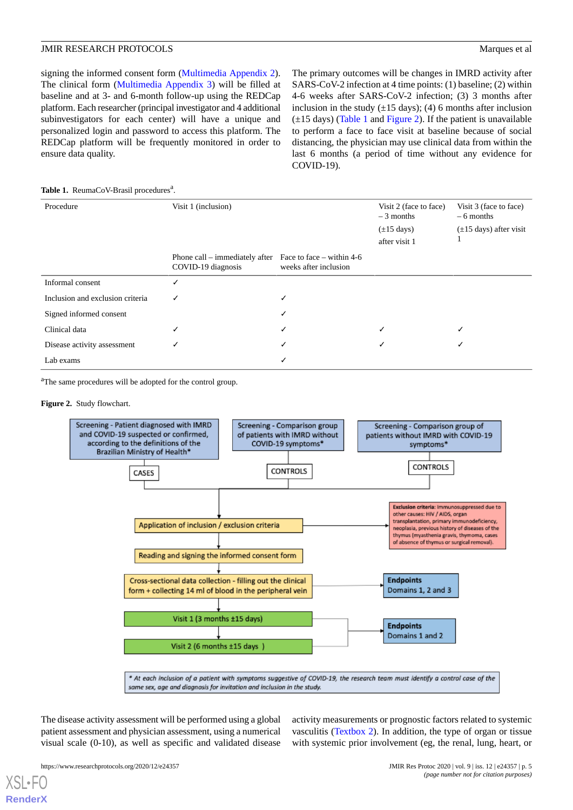signing the informed consent form ([Multimedia Appendix 2\)](#page-8-12). The clinical form ([Multimedia Appendix 3](#page-8-13)) will be filled at baseline and at 3- and 6-month follow-up using the REDCap platform. Each researcher (principal investigator and 4 additional subinvestigators for each center) will have a unique and personalized login and password to access this platform. The REDCap platform will be frequently monitored in order to ensure data quality.

The primary outcomes will be changes in IMRD activity after SARS-CoV-2 infection at 4 time points: (1) baseline; (2) within 4-6 weeks after SARS-CoV-2 infection; (3) 3 months after inclusion in the study  $(\pm 15 \text{ days})$ ; (4) 6 months after inclusion  $(\pm 15$  days) ([Table 1](#page-4-0) and [Figure 2\)](#page-4-1). If the patient is unavailable to perform a face to face visit at baseline because of social distancing, the physician may use clinical data from within the last 6 months (a period of time without any evidence for COVID-19).

#### <span id="page-4-0"></span>Table 1. ReumaCoV-Brasil procedures<sup>a</sup>.

| Procedure                        | Visit 1 (inclusion)                                                              |                       | Visit 2 (face to face)<br>$-3$ months | Visit 3 (face to face)<br>$-6$ months |
|----------------------------------|----------------------------------------------------------------------------------|-----------------------|---------------------------------------|---------------------------------------|
|                                  |                                                                                  |                       | $(\pm 15 \text{ days})$               | $(\pm 15 \text{ days})$ after visit   |
|                                  |                                                                                  |                       | after visit 1                         |                                       |
|                                  | Phone call – immediately after Face to face – within $4-6$<br>COVID-19 diagnosis | weeks after inclusion |                                       |                                       |
| Informal consent                 |                                                                                  |                       |                                       |                                       |
| Inclusion and exclusion criteria | √                                                                                | √                     |                                       |                                       |
| Signed informed consent          |                                                                                  | √                     |                                       |                                       |
| Clinical data                    |                                                                                  | √                     |                                       |                                       |
| Disease activity assessment      |                                                                                  | √                     |                                       |                                       |
| Lab exams                        |                                                                                  |                       |                                       |                                       |

<span id="page-4-1"></span><sup>a</sup>The same procedures will be adopted for the control group.

#### **Figure 2.** Study flowchart.



The disease activity assessment will be performed using a global patient assessment and physician assessment, using a numerical visual scale (0-10), as well as specific and validated disease activity measurements or prognostic factors related to systemic vasculitis ([Textbox 2\)](#page-5-0). In addition, the type of organ or tissue with systemic prior involvement (eg, the renal, lung, heart, or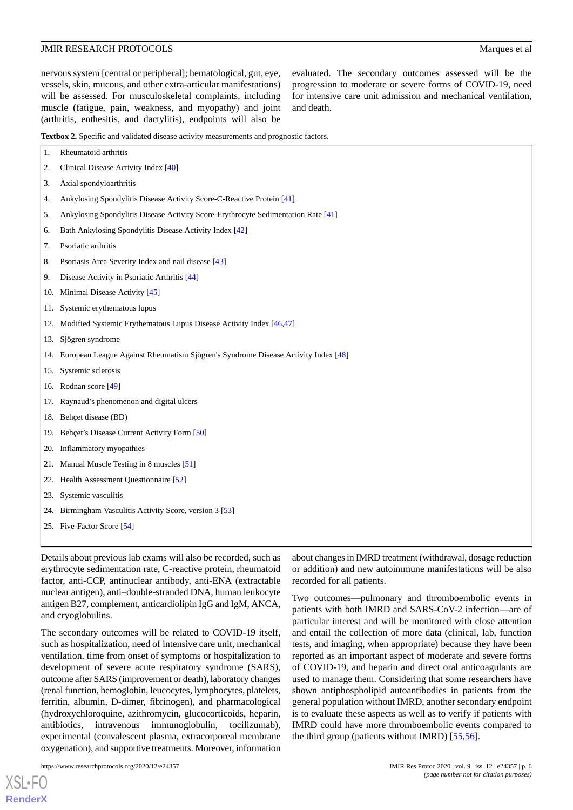nervous system [central or peripheral]; hematological, gut, eye, vessels, skin, mucous, and other extra-articular manifestations) will be assessed. For musculoskeletal complaints, including muscle (fatigue, pain, weakness, and myopathy) and joint (arthritis, enthesitis, and dactylitis), endpoints will also be

evaluated. The secondary outcomes assessed will be the progression to moderate or severe forms of COVID-19, need for intensive care unit admission and mechanical ventilation, and death.

<span id="page-5-0"></span>**Textbox 2.** Specific and validated disease activity measurements and prognostic factors.

| 1.  | Rheumatoid arthritis                                                              |
|-----|-----------------------------------------------------------------------------------|
| 2.  | Clinical Disease Activity Index [40]                                              |
| 3.  | Axial spondyloarthritis                                                           |
| 4.  | Ankylosing Spondylitis Disease Activity Score-C-Reactive Protein [41]             |
| 5.  | Ankylosing Spondylitis Disease Activity Score-Erythrocyte Sedimentation Rate [41] |
| 6.  | Bath Ankylosing Spondylitis Disease Activity Index [42]                           |
| 7.  | Psoriatic arthritis                                                               |
| 8.  | Psoriasis Area Severity Index and nail disease [43]                               |
| 9.  | Disease Activity in Psoriatic Arthritis [44]                                      |
| 10. | Minimal Disease Activity [45]                                                     |
|     | 11. Systemic erythematous lupus                                                   |
| 12. | Modified Systemic Erythematous Lupus Disease Activity Index [46,47]               |
| 13. | Sjögren syndrome                                                                  |
| 14. | European League Against Rheumatism Sjögren's Syndrome Disease Activity Index [48] |
|     | 15. Systemic sclerosis                                                            |
|     | 16. Rodnan score [49]                                                             |
|     | 17. Raynaud's phenomenon and digital ulcers                                       |
|     | 18. Behçet disease (BD)                                                           |
|     | 19. Behçet's Disease Current Activity Form [50]                                   |
|     | 20. Inflammatory myopathies                                                       |
| 21. | Manual Muscle Testing in 8 muscles [51]                                           |
| 22. | Health Assessment Questionnaire [52]                                              |
| 23. | Systemic vasculitis                                                               |
| 24. | Birmingham Vasculitis Activity Score, version 3 [53]                              |
|     | 25. Five-Factor Score [54]                                                        |
|     |                                                                                   |

Details about previous lab exams will also be recorded, such as erythrocyte sedimentation rate, C-reactive protein, rheumatoid factor, anti-CCP, antinuclear antibody, anti-ENA (extractable nuclear antigen), anti–double-stranded DNA, human leukocyte antigen B27, complement, anticardiolipin IgG and IgM, ANCA, and cryoglobulins.

The secondary outcomes will be related to COVID-19 itself, such as hospitalization, need of intensive care unit, mechanical ventilation, time from onset of symptoms or hospitalization to development of severe acute respiratory syndrome (SARS), outcome after SARS (improvement or death), laboratory changes (renal function, hemoglobin, leucocytes, lymphocytes, platelets, ferritin, albumin, D-dimer, fibrinogen), and pharmacological (hydroxychloroquine, azithromycin, glucocorticoids, heparin, antibiotics, intravenous immunoglobulin, tocilizumab), experimental (convalescent plasma, extracorporeal membrane oxygenation), and supportive treatments. Moreover, information

[XSL](http://www.w3.org/Style/XSL)•FO **[RenderX](http://www.renderx.com/)**

about changes in IMRD treatment (withdrawal, dosage reduction or addition) and new autoimmune manifestations will be also recorded for all patients.

Two outcomes—pulmonary and thromboembolic events in patients with both IMRD and SARS-CoV-2 infection—are of particular interest and will be monitored with close attention and entail the collection of more data (clinical, lab, function tests, and imaging, when appropriate) because they have been reported as an important aspect of moderate and severe forms of COVID-19, and heparin and direct oral anticoagulants are used to manage them. Considering that some researchers have shown antiphospholipid autoantibodies in patients from the general population without IMRD, another secondary endpoint is to evaluate these aspects as well as to verify if patients with IMRD could have more thromboembolic events compared to the third group (patients without IMRD) [[55](#page-10-18)[,56](#page-11-0)].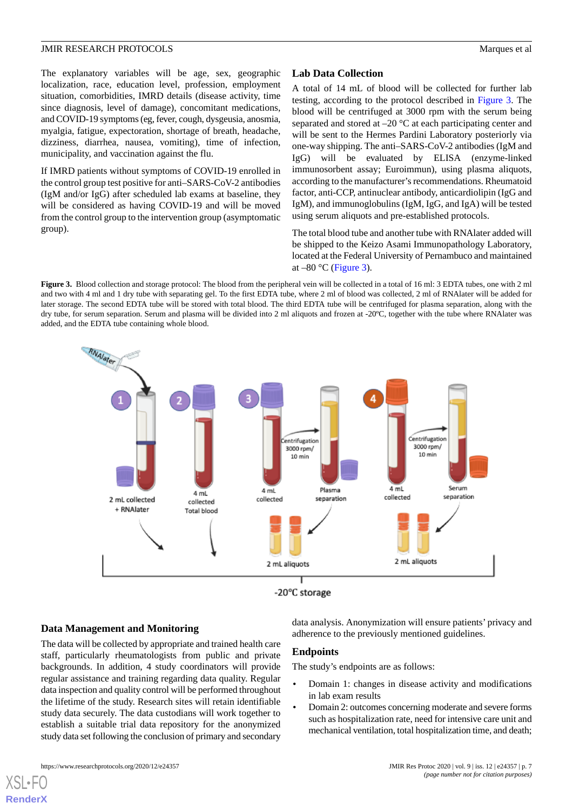The explanatory variables will be age, sex, geographic localization, race, education level, profession, employment situation, comorbidities, IMRD details (disease activity, time since diagnosis, level of damage), concomitant medications, and COVID-19 symptoms (eg, fever, cough, dysgeusia, anosmia, myalgia, fatigue, expectoration, shortage of breath, headache, dizziness, diarrhea, nausea, vomiting), time of infection, municipality, and vaccination against the flu.

If IMRD patients without symptoms of COVID-19 enrolled in the control group test positive for anti–SARS-CoV-2 antibodies (IgM and/or IgG) after scheduled lab exams at baseline, they will be considered as having COVID-19 and will be moved from the control group to the intervention group (asymptomatic group).

# **Lab Data Collection**

A total of 14 mL of blood will be collected for further lab testing, according to the protocol described in [Figure 3](#page-6-0). The blood will be centrifuged at 3000 rpm with the serum being separated and stored at –20 °C at each participating center and will be sent to the Hermes Pardini Laboratory posteriorly via one-way shipping. The anti–SARS-CoV-2 antibodies (IgM and IgG) will be evaluated by ELISA (enzyme-linked immunosorbent assay; Euroimmun), using plasma aliquots, according to the manufacturer's recommendations. Rheumatoid factor, anti-CCP, antinuclear antibody, anticardiolipin (IgG and IgM), and immunoglobulins (IgM, IgG, and IgA) will be tested using serum aliquots and pre-established protocols.

The total blood tube and another tube with RNAlater added will be shipped to the Keizo Asami Immunopathology Laboratory, located at the Federal University of Pernambuco and maintained at  $-80$  °C [\(Figure 3\)](#page-6-0).

<span id="page-6-0"></span>**Figure 3.** Blood collection and storage protocol: The blood from the peripheral vein will be collected in a total of 16 ml: 3 EDTA tubes, one with 2 ml and two with 4 ml and 1 dry tube with separating gel. To the first EDTA tube, where 2 ml of blood was collected, 2 ml of RNAlater will be added for later storage. The second EDTA tube will be stored with total blood. The third EDTA tube will be centrifuged for plasma separation, along with the dry tube, for serum separation. Serum and plasma will be divided into 2 ml aliquots and frozen at -20ºC, together with the tube where RNAlater was added, and the EDTA tube containing whole blood.



#### **Data Management and Monitoring**

The data will be collected by appropriate and trained health care staff, particularly rheumatologists from public and private backgrounds. In addition, 4 study coordinators will provide regular assistance and training regarding data quality. Regular data inspection and quality control will be performed throughout the lifetime of the study. Research sites will retain identifiable study data securely. The data custodians will work together to establish a suitable trial data repository for the anonymized study data set following the conclusion of primary and secondary

[XSL](http://www.w3.org/Style/XSL)•FO **[RenderX](http://www.renderx.com/)**

data analysis. Anonymization will ensure patients' privacy and adherence to the previously mentioned guidelines.

#### **Endpoints**

The study's endpoints are as follows:

- Domain 1: changes in disease activity and modifications in lab exam results
- Domain 2: outcomes concerning moderate and severe forms such as hospitalization rate, need for intensive care unit and mechanical ventilation, total hospitalization time, and death;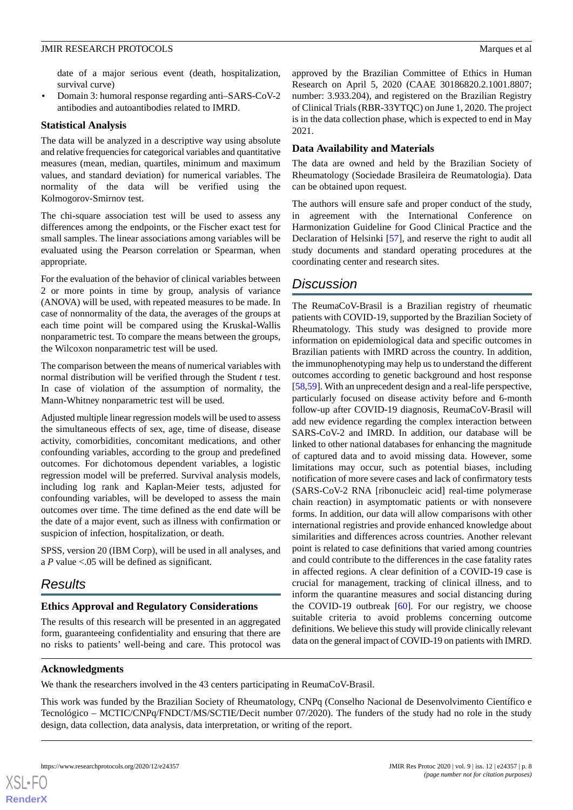date of a major serious event (death, hospitalization, survival curve)

• Domain 3: humoral response regarding anti–SARS-CoV-2 antibodies and autoantibodies related to IMRD.

### **Statistical Analysis**

The data will be analyzed in a descriptive way using absolute and relative frequencies for categorical variables and quantitative measures (mean, median, quartiles, minimum and maximum values, and standard deviation) for numerical variables. The normality of the data will be verified using the Kolmogorov-Smirnov test.

The chi-square association test will be used to assess any differences among the endpoints, or the Fischer exact test for small samples. The linear associations among variables will be evaluated using the Pearson correlation or Spearman, when appropriate.

For the evaluation of the behavior of clinical variables between 2 or more points in time by group, analysis of variance (ANOVA) will be used, with repeated measures to be made. In case of nonnormality of the data, the averages of the groups at each time point will be compared using the Kruskal-Wallis nonparametric test. To compare the means between the groups, the Wilcoxon nonparametric test will be used.

The comparison between the means of numerical variables with normal distribution will be verified through the Student *t* test. In case of violation of the assumption of normality, the Mann-Whitney nonparametric test will be used.

Adjusted multiple linear regression models will be used to assess the simultaneous effects of sex, age, time of disease, disease activity, comorbidities, concomitant medications, and other confounding variables, according to the group and predefined outcomes. For dichotomous dependent variables, a logistic regression model will be preferred. Survival analysis models, including log rank and Kaplan-Meier tests, adjusted for confounding variables, will be developed to assess the main outcomes over time. The time defined as the end date will be the date of a major event, such as illness with confirmation or suspicion of infection, hospitalization, or death.

SPSS, version 20 (IBM Corp), will be used in all analyses, and a *P* value <.05 will be defined as significant.

# *Results*

# **Ethics Approval and Regulatory Considerations**

The results of this research will be presented in an aggregated form, guaranteeing confidentiality and ensuring that there are no risks to patients' well-being and care. This protocol was approved by the Brazilian Committee of Ethics in Human Research on April 5, 2020 (CAAE 30186820.2.1001.8807; number: 3.933.204), and registered on the Brazilian Registry of Clinical Trials (RBR-33YTQC) on June 1, 2020. The project is in the data collection phase, which is expected to end in May 2021.

# **Data Availability and Materials**

The data are owned and held by the Brazilian Society of Rheumatology (Sociedade Brasileira de Reumatologia). Data can be obtained upon request.

The authors will ensure safe and proper conduct of the study, in agreement with the International Conference on Harmonization Guideline for Good Clinical Practice and the Declaration of Helsinki [\[57](#page-11-1)], and reserve the right to audit all study documents and standard operating procedures at the coordinating center and research sites.

# *Discussion*

The ReumaCoV-Brasil is a Brazilian registry of rheumatic patients with COVID-19, supported by the Brazilian Society of Rheumatology. This study was designed to provide more information on epidemiological data and specific outcomes in Brazilian patients with IMRD across the country. In addition, the immunophenotyping may help us to understand the different outcomes according to genetic background and host response [[58,](#page-11-2)[59\]](#page-11-3). With an unprecedent design and a real-life perspective, particularly focused on disease activity before and 6-month follow-up after COVID-19 diagnosis, ReumaCoV-Brasil will add new evidence regarding the complex interaction between SARS-CoV-2 and IMRD. In addition, our database will be linked to other national databases for enhancing the magnitude of captured data and to avoid missing data. However, some limitations may occur, such as potential biases, including notification of more severe cases and lack of confirmatory tests (SARS-CoV-2 RNA [ribonucleic acid] real-time polymerase chain reaction) in asymptomatic patients or with nonsevere forms. In addition, our data will allow comparisons with other international registries and provide enhanced knowledge about similarities and differences across countries. Another relevant point is related to case definitions that varied among countries and could contribute to the differences in the case fatality rates in affected regions. A clear definition of a COVID-19 case is crucial for management, tracking of clinical illness, and to inform the quarantine measures and social distancing during the COVID-19 outbreak [[60\]](#page-11-4). For our registry, we choose suitable criteria to avoid problems concerning outcome definitions. We believe this study will provide clinically relevant data on the general impact of COVID-19 on patients with IMRD.

### **Acknowledgments**

We thank the researchers involved in the 43 centers participating in ReumaCoV-Brasil.

This work was funded by the Brazilian Society of Rheumatology, CNPq (Conselho Nacional de Desenvolvimento Científico e Tecnológico – MCTIC/CNPq/FNDCT/MS/SCTIE/Decit number 07/2020). The funders of the study had no role in the study design, data collection, data analysis, data interpretation, or writing of the report.

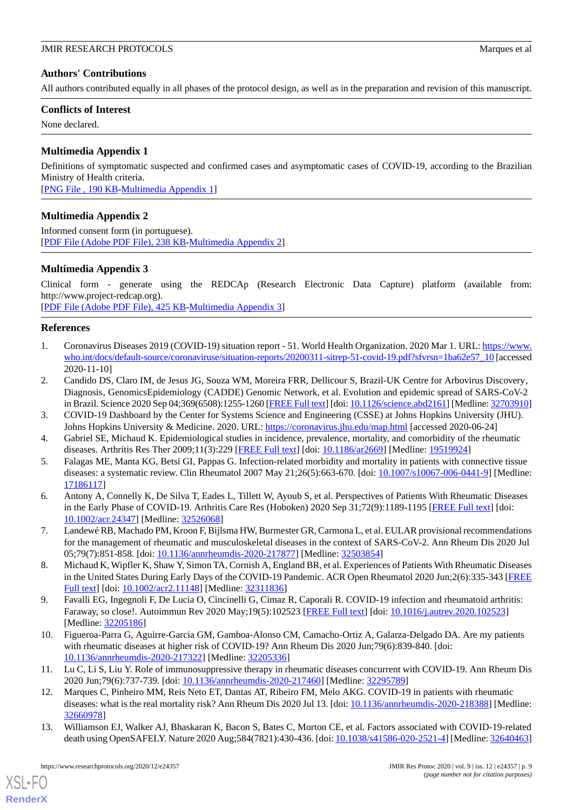# **Authors' Contributions**

All authors contributed equally in all phases of the protocol design, as well as in the preparation and revision of this manuscript.

# **Conflicts of Interest**

<span id="page-8-11"></span>None declared.

# **Multimedia Appendix 1**

Definitions of symptomatic suspected and confirmed cases and asymptomatic cases of COVID-19, according to the Brazilian Ministry of Health criteria.

<span id="page-8-12"></span>[[PNG File , 190 KB-Multimedia Appendix 1](https://jmir.org/api/download?alt_name=resprot_v9i12e24357_app1.png&filename=9124df2738732679a76e00ecea5c3635.png)]

# **Multimedia Appendix 2**

<span id="page-8-13"></span>Informed consent form (in portuguese). [[PDF File \(Adobe PDF File\), 238 KB](https://jmir.org/api/download?alt_name=resprot_v9i12e24357_app2.pdf&filename=912c94b3946b16258a76d607003806d6.pdf)-[Multimedia Appendix 2\]](https://jmir.org/api/download?alt_name=resprot_v9i12e24357_app2.pdf&filename=912c94b3946b16258a76d607003806d6.pdf)

# **Multimedia Appendix 3**

Clinical form - generate using the REDCAp (Research Electronic Data Capture) platform (available from: http://www.project-redcap.org). [[PDF File \(Adobe PDF File\), 425 KB](https://jmir.org/api/download?alt_name=resprot_v9i12e24357_app3.pdf&filename=aae1d45577e7478192e8d1ed802b33b6.pdf)-[Multimedia Appendix 3\]](https://jmir.org/api/download?alt_name=resprot_v9i12e24357_app3.pdf&filename=aae1d45577e7478192e8d1ed802b33b6.pdf)

<span id="page-8-0"></span>**References**

- <span id="page-8-1"></span>1. Coronavirus Diseases 2019 (COVID-19) situation report - 51. World Health Organization. 2020 Mar 1. URL: [https://www.](https://www.who.int/docs/default-source/coronaviruse/situation-reports/20200311-sitrep-51-covid-19.pdf?sfvrsn=1ba62e57_10) [who.int/docs/default-source/coronaviruse/situation-reports/20200311-sitrep-51-covid-19.pdf?sfvrsn=1ba62e57\\_10](https://www.who.int/docs/default-source/coronaviruse/situation-reports/20200311-sitrep-51-covid-19.pdf?sfvrsn=1ba62e57_10) [accessed 2020-11-10]
- <span id="page-8-3"></span><span id="page-8-2"></span>2. Candido DS, Claro IM, de Jesus JG, Souza WM, Moreira FRR, Dellicour S, Brazil-UK Centre for Arbovirus Discovery' Diagnosis, GenomicsEpidemiology (CADDE) Genomic Network, et al. Evolution and epidemic spread of SARS-CoV-2 in Brazil. Science 2020 Sep 04;369(6508):1255-1260 [[FREE Full text](http://europepmc.org/abstract/MED/32703910)] [doi: [10.1126/science.abd2161](http://dx.doi.org/10.1126/science.abd2161)] [Medline: [32703910](http://www.ncbi.nlm.nih.gov/entrez/query.fcgi?cmd=Retrieve&db=PubMed&list_uids=32703910&dopt=Abstract)]
- <span id="page-8-4"></span>3. COVID-19 Dashboard by the Center for Systems Science and Engineering (CSSE) at Johns Hopkins University (JHU). Johns Hopkins University & Medicine. 2020. URL: <https://coronavirus.jhu.edu/map.html> [accessed 2020-06-24]
- <span id="page-8-5"></span>4. Gabriel SE, Michaud K. Epidemiological studies in incidence, prevalence, mortality, and comorbidity of the rheumatic diseases. Arthritis Res Ther 2009;11(3):229 [[FREE Full text](https://arthritis-research.biomedcentral.com/articles/10.1186/ar2669)] [doi: [10.1186/ar2669](http://dx.doi.org/10.1186/ar2669)] [Medline: [19519924](http://www.ncbi.nlm.nih.gov/entrez/query.fcgi?cmd=Retrieve&db=PubMed&list_uids=19519924&dopt=Abstract)]
- 5. Falagas ME, Manta KG, Betsi GI, Pappas G. Infection-related morbidity and mortality in patients with connective tissue diseases: a systematic review. Clin Rheumatol 2007 May 21;26(5):663-670. [doi: [10.1007/s10067-006-0441-9\]](http://dx.doi.org/10.1007/s10067-006-0441-9) [Medline: [17186117](http://www.ncbi.nlm.nih.gov/entrez/query.fcgi?cmd=Retrieve&db=PubMed&list_uids=17186117&dopt=Abstract)]
- <span id="page-8-6"></span>6. Antony A, Connelly K, De Silva T, Eades L, Tillett W, Ayoub S, et al. Perspectives of Patients With Rheumatic Diseases in the Early Phase of COVID-19. Arthritis Care Res (Hoboken) 2020 Sep 31;72(9):1189-1195 [\[FREE Full text\]](http://europepmc.org/abstract/MED/32526068) [doi: [10.1002/acr.24347\]](http://dx.doi.org/10.1002/acr.24347) [Medline: [32526068\]](http://www.ncbi.nlm.nih.gov/entrez/query.fcgi?cmd=Retrieve&db=PubMed&list_uids=32526068&dopt=Abstract)
- <span id="page-8-7"></span>7. Landewé RB, Machado PM, Kroon F, Bijlsma HW, Burmester GR, Carmona L, et al. EULAR provisional recommendations for the management of rheumatic and musculoskeletal diseases in the context of SARS-CoV-2. Ann Rheum Dis 2020 Jul 05;79(7):851-858. [doi: [10.1136/annrheumdis-2020-217877](http://dx.doi.org/10.1136/annrheumdis-2020-217877)] [Medline: [32503854\]](http://www.ncbi.nlm.nih.gov/entrez/query.fcgi?cmd=Retrieve&db=PubMed&list_uids=32503854&dopt=Abstract)
- 8. Michaud K, Wipfler K, Shaw Y, Simon TA, Cornish A, England BR, et al. Experiences of Patients With Rheumatic Diseases in the United States During Early Days of the COVID-19 Pandemic. ACR Open Rheumatol 2020 Jun;2(6):335-343 [\[FREE](https://doi.org/10.1002/acr2.11148) [Full text\]](https://doi.org/10.1002/acr2.11148) [doi: [10.1002/acr2.11148](http://dx.doi.org/10.1002/acr2.11148)] [Medline: [32311836\]](http://www.ncbi.nlm.nih.gov/entrez/query.fcgi?cmd=Retrieve&db=PubMed&list_uids=32311836&dopt=Abstract)
- <span id="page-8-8"></span>9. Favalli EG, Ingegnoli F, De Lucia O, Cincinelli G, Cimaz R, Caporali R. COVID-19 infection and rheumatoid arthritis: Faraway, so close!. Autoimmun Rev 2020 May;19(5):102523 [\[FREE Full text\]](http://europepmc.org/abstract/MED/32205186) [doi: [10.1016/j.autrev.2020.102523\]](http://dx.doi.org/10.1016/j.autrev.2020.102523) [Medline: [32205186](http://www.ncbi.nlm.nih.gov/entrez/query.fcgi?cmd=Retrieve&db=PubMed&list_uids=32205186&dopt=Abstract)]
- <span id="page-8-9"></span>10. Figueroa-Parra G, Aguirre-Garcia GM, Gamboa-Alonso CM, Camacho-Ortiz A, Galarza-Delgado DA. Are my patients with rheumatic diseases at higher risk of COVID-19? Ann Rheum Dis 2020 Jun;79(6):839-840. [doi: [10.1136/annrheumdis-2020-217322](http://dx.doi.org/10.1136/annrheumdis-2020-217322)] [Medline: [32205336\]](http://www.ncbi.nlm.nih.gov/entrez/query.fcgi?cmd=Retrieve&db=PubMed&list_uids=32205336&dopt=Abstract)
- <span id="page-8-10"></span>11. Lu C, Li S, Liu Y. Role of immunosuppressive therapy in rheumatic diseases concurrent with COVID-19. Ann Rheum Dis 2020 Jun;79(6):737-739. [doi: [10.1136/annrheumdis-2020-217460\]](http://dx.doi.org/10.1136/annrheumdis-2020-217460) [Medline: [32295789](http://www.ncbi.nlm.nih.gov/entrez/query.fcgi?cmd=Retrieve&db=PubMed&list_uids=32295789&dopt=Abstract)]
- 12. Marques C, Pinheiro MM, Reis Neto ET, Dantas AT, Ribeiro FM, Melo AKG. COVID-19 in patients with rheumatic diseases: what is the real mortality risk? Ann Rheum Dis 2020 Jul 13. [doi: [10.1136/annrheumdis-2020-218388\]](http://dx.doi.org/10.1136/annrheumdis-2020-218388) [Medline: [32660978](http://www.ncbi.nlm.nih.gov/entrez/query.fcgi?cmd=Retrieve&db=PubMed&list_uids=32660978&dopt=Abstract)]
- 13. Williamson EJ, Walker AJ, Bhaskaran K, Bacon S, Bates C, Morton CE, et al. Factors associated with COVID-19-related death using OpenSAFELY. Nature 2020 Aug;584(7821):430-436. [doi: [10.1038/s41586-020-2521-4\]](http://dx.doi.org/10.1038/s41586-020-2521-4) [Medline: [32640463](http://www.ncbi.nlm.nih.gov/entrez/query.fcgi?cmd=Retrieve&db=PubMed&list_uids=32640463&dopt=Abstract)]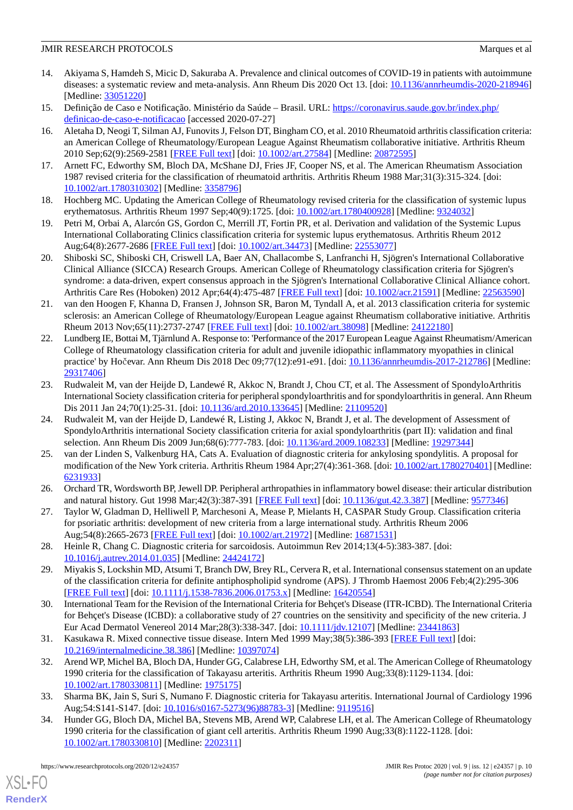- <span id="page-9-0"></span>14. Akiyama S, Hamdeh S, Micic D, Sakuraba A. Prevalence and clinical outcomes of COVID-19 in patients with autoimmune diseases: a systematic review and meta-analysis. Ann Rheum Dis 2020 Oct 13. [doi: [10.1136/annrheumdis-2020-218946](http://dx.doi.org/10.1136/annrheumdis-2020-218946)] [Medline: [33051220](http://www.ncbi.nlm.nih.gov/entrez/query.fcgi?cmd=Retrieve&db=PubMed&list_uids=33051220&dopt=Abstract)]
- <span id="page-9-2"></span><span id="page-9-1"></span>15. Definição de Caso e Notificação. Ministério da Saúde – Brasil. URL: [https://coronavirus.saude.gov.br/index.php/](https://coronavirus.saude.gov.br/index.php/definicao-de-caso-e-notificacao) [definicao-de-caso-e-notificacao](https://coronavirus.saude.gov.br/index.php/definicao-de-caso-e-notificacao) [accessed 2020-07-27]
- 16. Aletaha D, Neogi T, Silman AJ, Funovits J, Felson DT, Bingham CO, et al. 2010 Rheumatoid arthritis classification criteria: an American College of Rheumatology/European League Against Rheumatism collaborative initiative. Arthritis Rheum 2010 Sep;62(9):2569-2581 [\[FREE Full text\]](http://dx.doi.org/10.1002/art.27584) [doi: [10.1002/art.27584](http://dx.doi.org/10.1002/art.27584)] [Medline: [20872595](http://www.ncbi.nlm.nih.gov/entrez/query.fcgi?cmd=Retrieve&db=PubMed&list_uids=20872595&dopt=Abstract)]
- <span id="page-9-4"></span><span id="page-9-3"></span>17. Arnett FC, Edworthy SM, Bloch DA, McShane DJ, Fries JF, Cooper NS, et al. The American Rheumatism Association 1987 revised criteria for the classification of rheumatoid arthritis. Arthritis Rheum 1988 Mar;31(3):315-324. [doi: [10.1002/art.1780310302\]](http://dx.doi.org/10.1002/art.1780310302) [Medline: [3358796\]](http://www.ncbi.nlm.nih.gov/entrez/query.fcgi?cmd=Retrieve&db=PubMed&list_uids=3358796&dopt=Abstract)
- <span id="page-9-5"></span>18. Hochberg MC. Updating the American College of Rheumatology revised criteria for the classification of systemic lupus erythematosus. Arthritis Rheum 1997 Sep;40(9):1725. [doi: [10.1002/art.1780400928](http://dx.doi.org/10.1002/art.1780400928)] [Medline: [9324032](http://www.ncbi.nlm.nih.gov/entrez/query.fcgi?cmd=Retrieve&db=PubMed&list_uids=9324032&dopt=Abstract)]
- <span id="page-9-6"></span>19. Petri M, Orbai A, Alarcón GS, Gordon C, Merrill JT, Fortin PR, et al. Derivation and validation of the Systemic Lupus International Collaborating Clinics classification criteria for systemic lupus erythematosus. Arthritis Rheum 2012 Aug;64(8):2677-2686 [\[FREE Full text](https://doi.org/10.1002/art.34473)] [doi: [10.1002/art.34473](http://dx.doi.org/10.1002/art.34473)] [Medline: [22553077\]](http://www.ncbi.nlm.nih.gov/entrez/query.fcgi?cmd=Retrieve&db=PubMed&list_uids=22553077&dopt=Abstract)
- <span id="page-9-7"></span>20. Shiboski SC, Shiboski CH, Criswell LA, Baer AN, Challacombe S, Lanfranchi H, Sjögren's International Collaborative Clinical Alliance (SICCA) Research Groups. American College of Rheumatology classification criteria for Sjögren's syndrome: a data-driven, expert consensus approach in the Sjögren's International Collaborative Clinical Alliance cohort. Arthritis Care Res (Hoboken) 2012 Apr;64(4):475-487 [[FREE Full text](https://doi.org/10.1002/acr.21591)] [doi: [10.1002/acr.21591](http://dx.doi.org/10.1002/acr.21591)] [Medline: [22563590\]](http://www.ncbi.nlm.nih.gov/entrez/query.fcgi?cmd=Retrieve&db=PubMed&list_uids=22563590&dopt=Abstract)
- <span id="page-9-8"></span>21. van den Hoogen F, Khanna D, Fransen J, Johnson SR, Baron M, Tyndall A, et al. 2013 classification criteria for systemic sclerosis: an American College of Rheumatology/European League against Rheumatism collaborative initiative. Arthritis Rheum 2013 Nov;65(11):2737-2747 [[FREE Full text](https://doi.org/10.1002/art.38098)] [doi: [10.1002/art.38098\]](http://dx.doi.org/10.1002/art.38098) [Medline: [24122180\]](http://www.ncbi.nlm.nih.gov/entrez/query.fcgi?cmd=Retrieve&db=PubMed&list_uids=24122180&dopt=Abstract)
- <span id="page-9-9"></span>22. Lundberg IE, Bottai M, Tjärnlund A. Response to: 'Performance of the 2017 European League Against Rheumatism/American College of Rheumatology classification criteria for adult and juvenile idiopathic inflammatory myopathies in clinical practice' by Hočevar. Ann Rheum Dis 2018 Dec 09;77(12):e91-e91. [doi: [10.1136/annrheumdis-2017-212786](http://dx.doi.org/10.1136/annrheumdis-2017-212786)] [Medline: [29317406](http://www.ncbi.nlm.nih.gov/entrez/query.fcgi?cmd=Retrieve&db=PubMed&list_uids=29317406&dopt=Abstract)]
- 23. Rudwaleit M, van der Heijde D, Landewé R, Akkoc N, Brandt J, Chou CT, et al. The Assessment of SpondyloArthritis International Society classification criteria for peripheral spondyloarthritis and for spondyloarthritis in general. Ann Rheum Dis 2011 Jan 24;70(1):25-31. [doi: [10.1136/ard.2010.133645](http://dx.doi.org/10.1136/ard.2010.133645)] [Medline: [21109520](http://www.ncbi.nlm.nih.gov/entrez/query.fcgi?cmd=Retrieve&db=PubMed&list_uids=21109520&dopt=Abstract)]
- <span id="page-9-10"></span>24. Rudwaleit M, van der Heijde D, Landewé R, Listing J, Akkoc N, Brandt J, et al. The development of Assessment of SpondyloArthritis international Society classification criteria for axial spondyloarthritis (part II): validation and final selection. Ann Rheum Dis 2009 Jun;68(6):777-783. [doi: [10.1136/ard.2009.108233\]](http://dx.doi.org/10.1136/ard.2009.108233) [Medline: [19297344\]](http://www.ncbi.nlm.nih.gov/entrez/query.fcgi?cmd=Retrieve&db=PubMed&list_uids=19297344&dopt=Abstract)
- <span id="page-9-12"></span><span id="page-9-11"></span>25. van der Linden S, Valkenburg HA, Cats A. Evaluation of diagnostic criteria for ankylosing spondylitis. A proposal for modification of the New York criteria. Arthritis Rheum 1984 Apr;27(4):361-368. [doi: [10.1002/art.1780270401\]](http://dx.doi.org/10.1002/art.1780270401) [Medline: [6231933\]](http://www.ncbi.nlm.nih.gov/entrez/query.fcgi?cmd=Retrieve&db=PubMed&list_uids=6231933&dopt=Abstract)
- <span id="page-9-13"></span>26. Orchard TR, Wordsworth BP, Jewell DP. Peripheral arthropathies in inflammatory bowel disease: their articular distribution and natural history. Gut 1998 Mar;42(3):387-391 [[FREE Full text](https://gut.bmj.com/lookup/pmidlookup?view=long&pmid=9577346)] [doi: [10.1136/gut.42.3.387](http://dx.doi.org/10.1136/gut.42.3.387)] [Medline: [9577346\]](http://www.ncbi.nlm.nih.gov/entrez/query.fcgi?cmd=Retrieve&db=PubMed&list_uids=9577346&dopt=Abstract)
- <span id="page-9-14"></span>27. Taylor W, Gladman D, Helliwell P, Marchesoni A, Mease P, Mielants H, CASPAR Study Group. Classification criteria for psoriatic arthritis: development of new criteria from a large international study. Arthritis Rheum 2006 Aug;54(8):2665-2673 [\[FREE Full text](https://doi.org/10.1002/art.21972)] [doi: [10.1002/art.21972](http://dx.doi.org/10.1002/art.21972)] [Medline: [16871531\]](http://www.ncbi.nlm.nih.gov/entrez/query.fcgi?cmd=Retrieve&db=PubMed&list_uids=16871531&dopt=Abstract)
- <span id="page-9-15"></span>28. Heinle R, Chang C. Diagnostic criteria for sarcoidosis. Autoimmun Rev 2014;13(4-5):383-387. [doi: [10.1016/j.autrev.2014.01.035\]](http://dx.doi.org/10.1016/j.autrev.2014.01.035) [Medline: [24424172](http://www.ncbi.nlm.nih.gov/entrez/query.fcgi?cmd=Retrieve&db=PubMed&list_uids=24424172&dopt=Abstract)]
- <span id="page-9-16"></span>29. Miyakis S, Lockshin MD, Atsumi T, Branch DW, Brey RL, Cervera R, et al. International consensus statement on an update of the classification criteria for definite antiphospholipid syndrome (APS). J Thromb Haemost 2006 Feb;4(2):295-306 [[FREE Full text](https://doi.org/10.1111/j.1538-7836.2006.01753.x)] [doi: [10.1111/j.1538-7836.2006.01753.x\]](http://dx.doi.org/10.1111/j.1538-7836.2006.01753.x) [Medline: [16420554\]](http://www.ncbi.nlm.nih.gov/entrez/query.fcgi?cmd=Retrieve&db=PubMed&list_uids=16420554&dopt=Abstract)
- <span id="page-9-17"></span>30. International Team for the Revision of the International Criteria for Behçet's Disease (ITR-ICBD). The International Criteria for Behçet's Disease (ICBD): a collaborative study of 27 countries on the sensitivity and specificity of the new criteria. J Eur Acad Dermatol Venereol 2014 Mar;28(3):338-347. [doi: [10.1111/jdv.12107](http://dx.doi.org/10.1111/jdv.12107)] [Medline: [23441863](http://www.ncbi.nlm.nih.gov/entrez/query.fcgi?cmd=Retrieve&db=PubMed&list_uids=23441863&dopt=Abstract)]
- <span id="page-9-19"></span><span id="page-9-18"></span>31. Kasukawa R. Mixed connective tissue disease. Intern Med 1999 May;38(5):386-393 [[FREE Full text\]](https://joi.jlc.jst.go.jp/JST.Journalarchive/internalmedicine1992/38.386?from=PubMed) [doi: [10.2169/internalmedicine.38.386](http://dx.doi.org/10.2169/internalmedicine.38.386)] [Medline: [10397074\]](http://www.ncbi.nlm.nih.gov/entrez/query.fcgi?cmd=Retrieve&db=PubMed&list_uids=10397074&dopt=Abstract)
- 32. Arend WP, Michel BA, Bloch DA, Hunder GG, Calabrese LH, Edworthy SM, et al. The American College of Rheumatology 1990 criteria for the classification of Takayasu arteritis. Arthritis Rheum 1990 Aug;33(8):1129-1134. [doi: [10.1002/art.1780330811\]](http://dx.doi.org/10.1002/art.1780330811) [Medline: [1975175\]](http://www.ncbi.nlm.nih.gov/entrez/query.fcgi?cmd=Retrieve&db=PubMed&list_uids=1975175&dopt=Abstract)
- 33. Sharma BK, Jain S, Suri S, Numano F. Diagnostic criteria for Takayasu arteritis. International Journal of Cardiology 1996 Aug;54:S141-S147. [doi: [10.1016/s0167-5273\(96\)88783-3\]](http://dx.doi.org/10.1016/s0167-5273(96)88783-3) [Medline: [9119516](http://www.ncbi.nlm.nih.gov/entrez/query.fcgi?cmd=Retrieve&db=PubMed&list_uids=9119516&dopt=Abstract)]
- 34. Hunder GG, Bloch DA, Michel BA, Stevens MB, Arend WP, Calabrese LH, et al. The American College of Rheumatology 1990 criteria for the classification of giant cell arteritis. Arthritis Rheum 1990 Aug;33(8):1122-1128. [doi: [10.1002/art.1780330810\]](http://dx.doi.org/10.1002/art.1780330810) [Medline: [2202311\]](http://www.ncbi.nlm.nih.gov/entrez/query.fcgi?cmd=Retrieve&db=PubMed&list_uids=2202311&dopt=Abstract)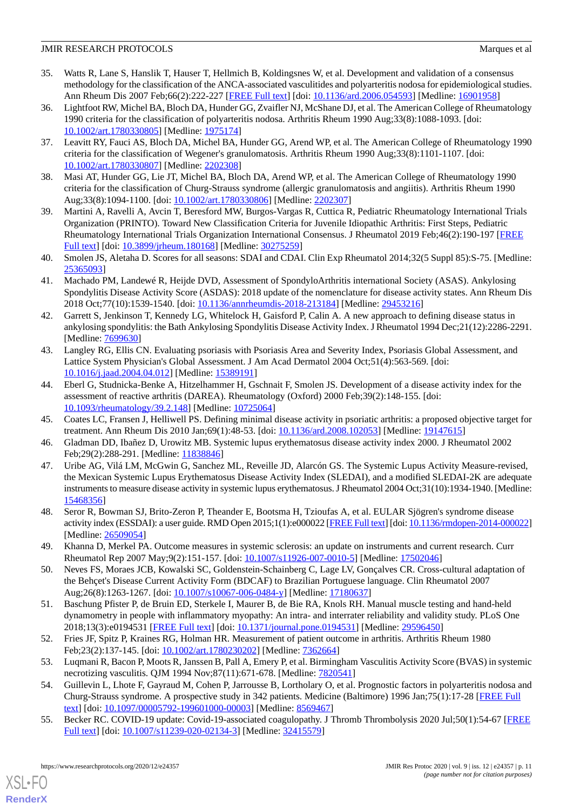- <span id="page-10-0"></span>35. Watts R, Lane S, Hanslik T, Hauser T, Hellmich B, Koldingsnes W, et al. Development and validation of a consensus methodology for the classification of the ANCA-associated vasculitides and polyarteritis nodosa for epidemiological studies. Ann Rheum Dis 2007 Feb;66(2):222-227 [[FREE Full text](http://europepmc.org/abstract/MED/16901958)] [doi: [10.1136/ard.2006.054593\]](http://dx.doi.org/10.1136/ard.2006.054593) [Medline: [16901958](http://www.ncbi.nlm.nih.gov/entrez/query.fcgi?cmd=Retrieve&db=PubMed&list_uids=16901958&dopt=Abstract)]
- 36. Lightfoot RW, Michel BA, Bloch DA, Hunder GG, Zvaifler NJ, McShane DJ, et al. The American College of Rheumatology 1990 criteria for the classification of polyarteritis nodosa. Arthritis Rheum 1990 Aug;33(8):1088-1093. [doi: [10.1002/art.1780330805\]](http://dx.doi.org/10.1002/art.1780330805) [Medline: [1975174\]](http://www.ncbi.nlm.nih.gov/entrez/query.fcgi?cmd=Retrieve&db=PubMed&list_uids=1975174&dopt=Abstract)
- 37. Leavitt RY, Fauci AS, Bloch DA, Michel BA, Hunder GG, Arend WP, et al. The American College of Rheumatology 1990 criteria for the classification of Wegener's granulomatosis. Arthritis Rheum 1990 Aug;33(8):1101-1107. [doi: [10.1002/art.1780330807\]](http://dx.doi.org/10.1002/art.1780330807) [Medline: [2202308\]](http://www.ncbi.nlm.nih.gov/entrez/query.fcgi?cmd=Retrieve&db=PubMed&list_uids=2202308&dopt=Abstract)
- <span id="page-10-2"></span><span id="page-10-1"></span>38. Masi AT, Hunder GG, Lie JT, Michel BA, Bloch DA, Arend WP, et al. The American College of Rheumatology 1990 criteria for the classification of Churg-Strauss syndrome (allergic granulomatosis and angiitis). Arthritis Rheum 1990 Aug;33(8):1094-1100. [doi: [10.1002/art.1780330806](http://dx.doi.org/10.1002/art.1780330806)] [Medline: [2202307\]](http://www.ncbi.nlm.nih.gov/entrez/query.fcgi?cmd=Retrieve&db=PubMed&list_uids=2202307&dopt=Abstract)
- <span id="page-10-3"></span>39. Martini A, Ravelli A, Avcin T, Beresford MW, Burgos-Vargas R, Cuttica R, Pediatric Rheumatology International Trials Organization (PRINTO). Toward New Classification Criteria for Juvenile Idiopathic Arthritis: First Steps, Pediatric Rheumatology International Trials Organization International Consensus. J Rheumatol 2019 Feb;46(2):190-197 [[FREE](http://www.jrheum.org/lookup/pmidlookup?view=long&pmid=30275259) [Full text\]](http://www.jrheum.org/lookup/pmidlookup?view=long&pmid=30275259) [doi: [10.3899/jrheum.180168](http://dx.doi.org/10.3899/jrheum.180168)] [Medline: [30275259](http://www.ncbi.nlm.nih.gov/entrez/query.fcgi?cmd=Retrieve&db=PubMed&list_uids=30275259&dopt=Abstract)]
- <span id="page-10-4"></span>40. Smolen JS, Aletaha D. Scores for all seasons: SDAI and CDAI. Clin Exp Rheumatol 2014;32(5 Suppl 85):S-75. [Medline: [25365093](http://www.ncbi.nlm.nih.gov/entrez/query.fcgi?cmd=Retrieve&db=PubMed&list_uids=25365093&dopt=Abstract)]
- <span id="page-10-5"></span>41. Machado PM, Landewé R, Heijde DVD, Assessment of SpondyloArthritis international Society (ASAS). Ankylosing Spondylitis Disease Activity Score (ASDAS): 2018 update of the nomenclature for disease activity states. Ann Rheum Dis 2018 Oct;77(10):1539-1540. [doi: [10.1136/annrheumdis-2018-213184](http://dx.doi.org/10.1136/annrheumdis-2018-213184)] [Medline: [29453216\]](http://www.ncbi.nlm.nih.gov/entrez/query.fcgi?cmd=Retrieve&db=PubMed&list_uids=29453216&dopt=Abstract)
- <span id="page-10-6"></span>42. Garrett S, Jenkinson T, Kennedy LG, Whitelock H, Gaisford P, Calin A. A new approach to defining disease status in ankylosing spondylitis: the Bath Ankylosing Spondylitis Disease Activity Index. J Rheumatol 1994 Dec;21(12):2286-2291. [Medline: **7699630**]
- <span id="page-10-7"></span>43. Langley RG, Ellis CN. Evaluating psoriasis with Psoriasis Area and Severity Index, Psoriasis Global Assessment, and Lattice System Physician's Global Assessment. J Am Acad Dermatol 2004 Oct;51(4):563-569. [doi: [10.1016/j.jaad.2004.04.012](http://dx.doi.org/10.1016/j.jaad.2004.04.012)] [Medline: [15389191](http://www.ncbi.nlm.nih.gov/entrez/query.fcgi?cmd=Retrieve&db=PubMed&list_uids=15389191&dopt=Abstract)]
- <span id="page-10-9"></span><span id="page-10-8"></span>44. Eberl G, Studnicka-Benke A, Hitzelhammer H, Gschnait F, Smolen JS. Development of a disease activity index for the assessment of reactive arthritis (DAREA). Rheumatology (Oxford) 2000 Feb;39(2):148-155. [doi: [10.1093/rheumatology/39.2.148](http://dx.doi.org/10.1093/rheumatology/39.2.148)] [Medline: [10725064\]](http://www.ncbi.nlm.nih.gov/entrez/query.fcgi?cmd=Retrieve&db=PubMed&list_uids=10725064&dopt=Abstract)
- <span id="page-10-10"></span>45. Coates LC, Fransen J, Helliwell PS. Defining minimal disease activity in psoriatic arthritis: a proposed objective target for treatment. Ann Rheum Dis 2010 Jan;69(1):48-53. [doi: [10.1136/ard.2008.102053\]](http://dx.doi.org/10.1136/ard.2008.102053) [Medline: [19147615](http://www.ncbi.nlm.nih.gov/entrez/query.fcgi?cmd=Retrieve&db=PubMed&list_uids=19147615&dopt=Abstract)]
- 46. Gladman DD, Ibañez D, Urowitz MB. Systemic lupus erythematosus disease activity index 2000. J Rheumatol 2002 Feb; 29(2): 288-291. [Medline: [11838846](http://www.ncbi.nlm.nih.gov/entrez/query.fcgi?cmd=Retrieve&db=PubMed&list_uids=11838846&dopt=Abstract)]
- <span id="page-10-11"></span>47. Uribe AG, Vilá LM, McGwin G, Sanchez ML, Reveille JD, Alarcón GS. The Systemic Lupus Activity Measure-revised, the Mexican Systemic Lupus Erythematosus Disease Activity Index (SLEDAI), and a modified SLEDAI-2K are adequate instruments to measure disease activity in systemic lupus erythematosus. J Rheumatol 2004 Oct;31(10):1934-1940. [Medline: [15468356](http://www.ncbi.nlm.nih.gov/entrez/query.fcgi?cmd=Retrieve&db=PubMed&list_uids=15468356&dopt=Abstract)]
- <span id="page-10-13"></span><span id="page-10-12"></span>48. Seror R, Bowman SJ, Brito-Zeron P, Theander E, Bootsma H, Tzioufas A, et al. EULAR Sjögren's syndrome disease activity index (ESSDAI): a user guide. RMD Open 2015;1(1):e000022 [\[FREE Full text](https://rmdopen.bmj.com/lookup/pmidlookup?view=long&pmid=26509054)] [doi: [10.1136/rmdopen-2014-000022\]](http://dx.doi.org/10.1136/rmdopen-2014-000022) [Medline: [26509054](http://www.ncbi.nlm.nih.gov/entrez/query.fcgi?cmd=Retrieve&db=PubMed&list_uids=26509054&dopt=Abstract)]
- <span id="page-10-14"></span>49. Khanna D, Merkel PA. Outcome measures in systemic sclerosis: an update on instruments and current research. Curr Rheumatol Rep 2007 May;9(2):151-157. [doi: [10.1007/s11926-007-0010-5](http://dx.doi.org/10.1007/s11926-007-0010-5)] [Medline: [17502046](http://www.ncbi.nlm.nih.gov/entrez/query.fcgi?cmd=Retrieve&db=PubMed&list_uids=17502046&dopt=Abstract)]
- <span id="page-10-15"></span>50. Neves FS, Moraes JCB, Kowalski SC, Goldenstein-Schainberg C, Lage LV, Gonçalves CR. Cross-cultural adaptation of the Behçet's Disease Current Activity Form (BDCAF) to Brazilian Portuguese language. Clin Rheumatol 2007 Aug;26(8):1263-1267. [doi: [10.1007/s10067-006-0484-y\]](http://dx.doi.org/10.1007/s10067-006-0484-y) [Medline: [17180637\]](http://www.ncbi.nlm.nih.gov/entrez/query.fcgi?cmd=Retrieve&db=PubMed&list_uids=17180637&dopt=Abstract)
- <span id="page-10-17"></span><span id="page-10-16"></span>51. Baschung Pfister P, de Bruin ED, Sterkele I, Maurer B, de Bie RA, Knols RH. Manual muscle testing and hand-held dynamometry in people with inflammatory myopathy: An intra- and interrater reliability and validity study. PLoS One 2018;13(3):e0194531 [\[FREE Full text](https://dx.plos.org/10.1371/journal.pone.0194531)] [doi: [10.1371/journal.pone.0194531\]](http://dx.doi.org/10.1371/journal.pone.0194531) [Medline: [29596450\]](http://www.ncbi.nlm.nih.gov/entrez/query.fcgi?cmd=Retrieve&db=PubMed&list_uids=29596450&dopt=Abstract)
- <span id="page-10-18"></span>52. Fries JF, Spitz P, Kraines RG, Holman HR. Measurement of patient outcome in arthritis. Arthritis Rheum 1980 Feb;23(2):137-145. [doi: [10.1002/art.1780230202\]](http://dx.doi.org/10.1002/art.1780230202) [Medline: [7362664\]](http://www.ncbi.nlm.nih.gov/entrez/query.fcgi?cmd=Retrieve&db=PubMed&list_uids=7362664&dopt=Abstract)
- 53. Luqmani R, Bacon P, Moots R, Janssen B, Pall A, Emery P, et al. Birmingham Vasculitis Activity Score (BVAS) in systemic necrotizing vasculitis. QJM 1994 Nov;87(11):671-678. [Medline: [7820541](http://www.ncbi.nlm.nih.gov/entrez/query.fcgi?cmd=Retrieve&db=PubMed&list_uids=7820541&dopt=Abstract)]
- 54. Guillevin L, Lhote F, Gayraud M, Cohen P, Jarrousse B, Lortholary O, et al. Prognostic factors in polyarteritis nodosa and Churg-Strauss syndrome. A prospective study in 342 patients. Medicine (Baltimore) 1996 Jan;75(1):17-28 [\[FREE Full](https://doi.org/10.1097/00005792-199601000-00003) [text](https://doi.org/10.1097/00005792-199601000-00003)] [doi: [10.1097/00005792-199601000-00003](http://dx.doi.org/10.1097/00005792-199601000-00003)] [Medline: [8569467](http://www.ncbi.nlm.nih.gov/entrez/query.fcgi?cmd=Retrieve&db=PubMed&list_uids=8569467&dopt=Abstract)]
- 55. Becker RC. COVID-19 update: Covid-19-associated coagulopathy. J Thromb Thrombolysis 2020 Jul;50(1):54-67 [[FREE](http://europepmc.org/abstract/MED/32415579) [Full text\]](http://europepmc.org/abstract/MED/32415579) [doi: [10.1007/s11239-020-02134-3](http://dx.doi.org/10.1007/s11239-020-02134-3)] [Medline: [32415579](http://www.ncbi.nlm.nih.gov/entrez/query.fcgi?cmd=Retrieve&db=PubMed&list_uids=32415579&dopt=Abstract)]